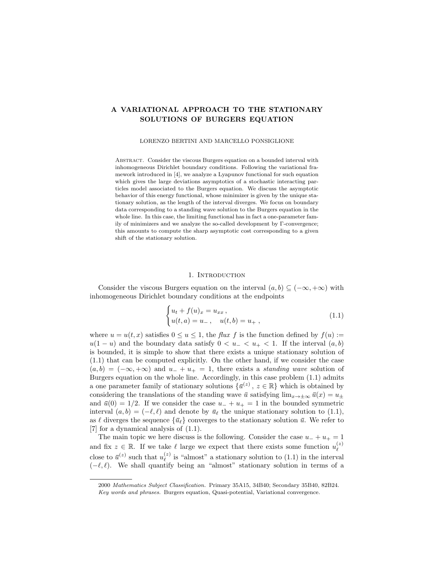# A VARIATIONAL APPROACH TO THE STATIONARY SOLUTIONS OF BURGERS EQUATION

### LORENZO BERTINI AND MARCELLO PONSIGLIONE

Abstract. Consider the viscous Burgers equation on a bounded interval with inhomogeneous Dirichlet boundary conditions. Following the variational framework introduced in [4], we analyze a Lyapunov functional for such equation which gives the large deviations asymptotics of a stochastic interacting particles model associated to the Burgers equation. We discuss the asymptotic behavior of this energy functional, whose minimizer is given by the unique stationary solution, as the length of the interval diverges. We focus on boundary data corresponding to a standing wave solution to the Burgers equation in the whole line. In this case, the limiting functional has in fact a one-parameter family of minimizers and we analyze the so-called development by Γ-convergence; this amounts to compute the sharp asymptotic cost corresponding to a given shift of the stationary solution.

### 1. INTRODUCTION

Consider the viscous Burgers equation on the interval  $(a, b) \subseteq (-\infty, +\infty)$  with inhomogeneous Dirichlet boundary conditions at the endpoints

$$
\begin{cases} u_t + f(u)_x = u_{xx}, \\ u(t, a) = u_-, \quad u(t, b) = u_+, \end{cases}
$$
\n(1.1)

where  $u = u(t, x)$  satisfies  $0 \le u \le 1$ , the *flux f* is the function defined by  $f(u) :=$  $u(1-u)$  and the boundary data satisfy  $0 < u_- < u_+ < 1$ . If the interval  $(a, b)$ is bounded, it is simple to show that there exists a unique stationary solution of (1.1) that can be computed explicitly. On the other hand, if we consider the case  $(a, b) = (-\infty, +\infty)$  and  $u_{-} + u_{+} = 1$ , there exists a *standing wave* solution of Burgers equation on the whole line. Accordingly, in this case problem (1.1) admits a one parameter family of stationary solutions  $\{\bar{u}^{(z)}, z \in \mathbb{R}\}\$  which is obtained by considering the translations of the standing wave  $\bar{u}$  satisfying  $\lim_{x\to+\infty}\bar{u}(x) = u_+$ and  $\bar{u}(0) = 1/2$ . If we consider the case  $u_{-} + u_{+} = 1$  in the bounded symmetric interval  $(a, b) = (-\ell, \ell)$  and denote by  $\bar{u}_{\ell}$  the unique stationary solution to (1.1), as  $\ell$  diverges the sequence  ${\bar{u}}_{\ell}$  converges to the stationary solution  $\bar{u}$ . We refer to [7] for a dynamical analysis of (1.1).

The main topic we here discuss is the following. Consider the case  $u_{-} + u_{+} = 1$ and fix  $z \in \mathbb{R}$ . If we take  $\ell$  large we expect that there exists some function  $u_{\ell}^{(z)}$  $_{\ell}$ close to  $\bar{u}^{(z)}$  such that  $u_{\ell}^{(z)}$  $\ell^{(z)}$  is "almost" a stationary solution to  $(1.1)$  in the interval  $(-\ell, \ell)$ . We shall quantify being an "almost" stationary solution in terms of a

<sup>2000</sup> Mathematics Subject Classification. Primary 35A15, 34B40; Secondary 35B40, 82B24. Key words and phrases. Burgers equation, Quasi-potential, Variational convergence.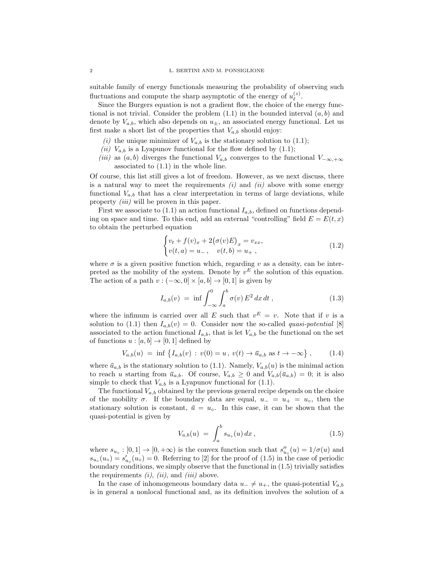suitable family of energy functionals measuring the probability of observing such fluctuations and compute the sharp asymptotic of the energy of  $u_{\ell}^{(z)}$  $_{\ell}^{(z)}$  .

Since the Burgers equation is not a gradient flow, the choice of the energy functional is not trivial. Consider the problem  $(1.1)$  in the bounded interval  $(a, b)$  and denote by  $V_{a,b}$ , which also depends on  $u_{\pm}$ , an associated energy functional. Let us first make a short list of the properties that  $V_{a,b}$  should enjoy:

- (i) the unique minimizer of  $V_{a,b}$  is the stationary solution to (1.1);
- (ii)  $V_{a,b}$  is a Lyapunov functional for the flow defined by (1.1);
- (iii) as  $(a, b)$  diverges the functional  $V_{a,b}$  converges to the functional  $V_{-\infty,+\infty}$ associated to (1.1) in the whole line.

Of course, this list still gives a lot of freedom. However, as we next discuss, there is a natural way to meet the requirements  $(i)$  and  $(ii)$  above with some energy functional  $V_{a,b}$  that has a clear interpretation in terms of large deviations, while property *(iii)* will be proven in this paper.

First we associate to  $(1.1)$  an action functional  $I_{a,b}$ , defined on functions depending on space and time. To this end, add an external "controlling" field  $E = E(t, x)$ to obtain the perturbed equation

$$
\begin{cases} v_t + f(v)_x + 2(\sigma(v)E)_x = v_{xx}, \\ v(t, a) = u_-, \quad v(t, b) = u_+, \end{cases}
$$
\n(1.2)

where  $\sigma$  is a given positive function which, regarding v as a density, can be interpreted as the mobility of the system. Denote by  $v<sup>E</sup>$  the solution of this equation. The action of a path  $v : (-\infty, 0] \times [a, b] \rightarrow [0, 1]$  is given by

$$
I_{a,b}(v) = \inf \int_{-\infty}^{0} \int_{a}^{b} \sigma(v) E^{2} dx dt , \qquad (1.3)
$$

where the infimum is carried over all E such that  $v^E = v$ . Note that if v is a solution to (1.1) then  $I_{a,b}(v) = 0$ . Consider now the so-called *quasi-potential* [8] associated to the action functional  $I_{a,b}$ , that is let  $V_{a,b}$  be the functional on the set of functions  $u : [a, b] \to [0, 1]$  defined by

$$
V_{a,b}(u) = \inf \{ I_{a,b}(v) : v(0) = u, v(t) \to \bar{u}_{a,b} \text{ as } t \to -\infty \}, \qquad (1.4)
$$

where  $\bar{u}_{a,b}$  is the stationary solution to (1.1). Namely,  $V_{a,b}(u)$  is the minimal action to reach u starting from  $\bar{u}_{a,b}$ . Of course,  $V_{a,b} \geq 0$  and  $V_{a,b}(\bar{u}_{a,b}) = 0$ ; it is also simple to check that  $V_{a,b}$  is a Lyapunov functional for (1.1).

The functional  $V_{a,b}$  obtained by the previous general recipe depends on the choice of the mobility  $\sigma$ . If the boundary data are equal,  $u_-=u_+=u_0$ , then the stationary solution is constant,  $\bar{u} = u_0$ . In this case, it can be shown that the quasi-potential is given by

$$
V_{a,b}(u) = \int_{a}^{b} s_{u_{\circ}}(u) dx , \qquad (1.5)
$$

where  $s_{u_0} : [0,1] \to [0,+\infty)$  is the convex function such that  $s''_{u_0}(u) = 1/\sigma(u)$  and  $s_{u_{\circ}}(u_{\circ}) = s'_{u_{\circ}}(u_{\circ}) = 0.$  Referring to [2] for the proof of (1.5) in the case of periodic boundary conditions, we simply observe that the functional in (1.5) trivially satisfies the requirements  $(i)$ ,  $(ii)$ , and  $(iii)$  above.

In the case of inhomogeneous boundary data  $u_-\neq u_+$ , the quasi-potential  $V_{a,b}$ is in general a nonlocal functional and, as its definition involves the solution of a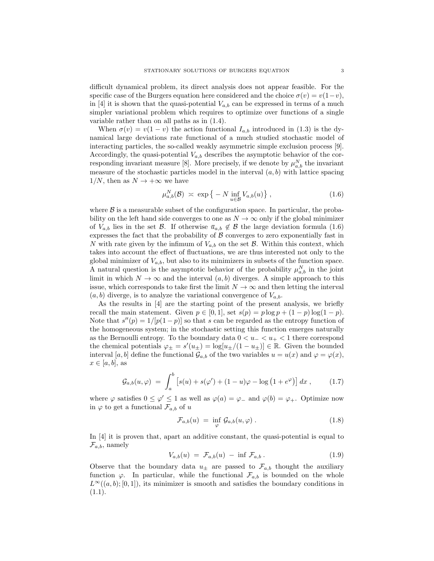difficult dynamical problem, its direct analysis does not appear feasible. For the specific case of the Burgers equation here considered and the choice  $\sigma(v) = v(1-v)$ , in [4] it is shown that the quasi-potential  $V_{a,b}$  can be expressed in terms of a much simpler variational problem which requires to optimize over functions of a single variable rather than on all paths as in (1.4).

When  $\sigma(v) = v(1 - v)$  the action functional  $I_{a,b}$  introduced in (1.3) is the dynamical large deviations rate functional of a much studied stochastic model of interacting particles, the so-called weakly asymmetric simple exclusion process [9]. Accordingly, the quasi-potential  $V_{a,b}$  describes the asymptotic behavior of the corresponding invariant measure [8]. More precisely, if we denote by  $\mu_{a,b}^N$  the invariant measure of the stochastic particles model in the interval  $(a, b)$  with lattice spacing  $1/N$ , then as  $N \rightarrow +\infty$  we have

$$
\mu_{a,b}^N(\mathcal{B}) \; \asymp \; \exp\left\{ -N \inf_{u \in \mathcal{B}} V_{a,b}(u) \right\},\tag{1.6}
$$

where  $\beta$  is a measurable subset of the configuration space. In particular, the probability on the left hand side converges to one as  $N \to \infty$  only if the global minimizer of  $V_{a,b}$  lies in the set  $\mathcal{B}$ . If otherwise  $\bar{u}_{a,b} \notin \mathcal{B}$  the large deviation formula (1.6) expresses the fact that the probability of  $\beta$  converges to zero exponentially fast in N with rate given by the infimum of  $V_{a,b}$  on the set  $\mathcal{B}$ . Within this context, which takes into account the effect of fluctuations, we are thus interested not only to the global minimizer of  $V_{a,b}$ , but also to its minimizers in subsets of the function space. A natural question is the asymptotic behavior of the probability  $\mu_{a,b}^N$  in the joint limit in which  $N \to \infty$  and the interval  $(a, b)$  diverges. A simple approach to this issue, which corresponds to take first the limit  $N \to \infty$  and then letting the interval  $(a, b)$  diverge, is to analyze the variational convergence of  $V_{a,b}$ .

As the results in [4] are the starting point of the present analysis, we briefly recall the main statement. Given  $p \in [0,1]$ , set  $s(p) = p \log p + (1-p) \log(1-p)$ . Note that  $s''(p) = 1/[p(1-p)]$  so that s can be regarded as the entropy function of the homogeneous system; in the stochastic setting this function emerges naturally as the Bernoulli entropy. To the boundary data  $0 < u<sub>-</sub> < u<sub>+</sub> < 1$  there correspond the chemical potentials  $\varphi_{\pm} = s'(u_{\pm}) = \log[u_{\pm}/(1-u_{\pm})] \in \mathbb{R}$ . Given the bounded interval [a, b] define the functional  $\mathcal{G}_{a,b}$  of the two variables  $u = u(x)$  and  $\varphi = \varphi(x)$ ,  $x \in [a, b]$ , as

$$
\mathcal{G}_{a,b}(u,\varphi) \ = \ \int_a^b \left[ s(u) + s(\varphi') + (1-u)\varphi - \log(1+e^{\varphi}) \right] dx \ , \tag{1.7}
$$

where  $\varphi$  satisfies  $0 \le \varphi' \le 1$  as well as  $\varphi(a) = \varphi_{-}$  and  $\varphi(b) = \varphi_{+}$ . Optimize now in  $\varphi$  to get a functional  $\mathcal{F}_{a,b}$  of u

$$
\mathcal{F}_{a,b}(u) = \inf_{\varphi} \mathcal{G}_{a,b}(u,\varphi).
$$
 (1.8)

In [4] it is proven that, apart an additive constant, the quasi-potential is equal to  $\mathcal{F}_{a,b}$ , namely

$$
V_{a,b}(u) = \mathcal{F}_{a,b}(u) - \inf \mathcal{F}_{a,b}.
$$
 (1.9)

Observe that the boundary data  $u_{\pm}$  are passed to  $\mathcal{F}_{a,b}$  thought the auxiliary function  $\varphi$ . In particular, while the functional  $\mathcal{F}_{a,b}$  is bounded on the whole  $L^{\infty}((a, b); [0, 1])$ , its minimizer is smooth and satisfies the boundary conditions in  $(1.1).$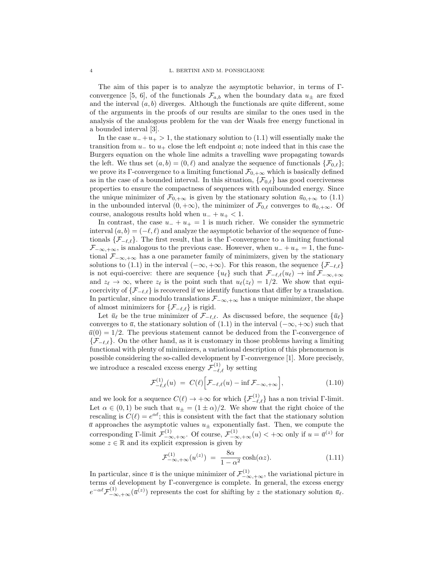The aim of this paper is to analyze the asymptotic behavior, in terms of Γconvergence [5, 6], of the functionals  $\mathcal{F}_{a,b}$  when the boundary data  $u_{\pm}$  are fixed and the interval  $(a, b)$  diverges. Although the functionals are quite different, some of the arguments in the proofs of our results are similar to the ones used in the analysis of the analogous problem for the van der Waals free energy functional in a bounded interval [3].

In the case  $u_{-}+u_{+}>1$ , the stationary solution to (1.1) will essentially make the transition from  $u_+$  to  $u_+$  close the left endpoint  $a$ ; note indeed that in this case the Burgers equation on the whole line admits a travelling wave propagating towards the left. We thus set  $(a, b) = (0, \ell)$  and analyze the sequence of functionals  $\{\mathcal{F}_{0,\ell}\};$ we prove its Γ-convergence to a limiting functional  $\mathcal{F}_{0,+\infty}$  which is basically defined as in the case of a bounded interval. In this situation,  $\{\mathcal{F}_{0,\ell}\}\)$  has good coerciveness properties to ensure the compactness of sequences with equibounded energy. Since the unique minimizer of  $\mathcal{F}_{0,+\infty}$  is given by the stationary solution  $\bar{u}_{0,+\infty}$  to (1.1) in the unbounded interval  $(0, +\infty)$ , the minimizer of  $\mathcal{F}_{0,\ell}$  converges to  $\bar{u}_{0,+\infty}$ . Of course, analogous results hold when  $u_{-} + u_{+} < 1$ .

In contrast, the case  $u_{-} + u_{+} = 1$  is much richer. We consider the symmetric interval  $(a, b) = (-\ell, \ell)$  and analyze the asymptotic behavior of the sequence of functionals  $\{\mathcal{F}_{-\ell,\ell}\}.$  The first result, that is the Γ-convergence to a limiting functional  $\mathcal{F}_{-\infty,+\infty}$ , is analogous to the previous case. However, when  $u_{-}+u_{+}=1$ , the functional  $\mathcal{F}_{-\infty,+\infty}$  has a one parameter family of minimizers, given by the stationary solutions to (1.1) in the interval ( $-\infty, +\infty$ ). For this reason, the sequence  $\{\mathcal{F}_{-\ell,\ell}\}$ is not equi-coercive: there are sequence  $\{u_\ell\}$  such that  $\mathcal{F}_{-\ell,\ell}(u_\ell) \to \inf \mathcal{F}_{-\infty,+\infty}$ and  $z_{\ell} \to \infty$ , where  $z_{\ell}$  is the point such that  $u_{\ell}(z_{\ell}) = 1/2$ . We show that equicoercivity of  $\{\mathcal{F}_{-\ell,\ell}\}\$  is recovered if we identify functions that differ by a translation. In particular, since modulo translations  $\mathcal{F}_{-\infty,+\infty}$  has a unique minimizer, the shape of almost minimizers for  $\{\mathcal{F}_{-\ell,\ell}\}\$ is rigid.

Let  $\bar{u}_{\ell}$  be the true minimizer of  $\mathcal{F}_{-\ell,\ell}$ . As discussed before, the sequence  $\{\bar{u}_{\ell}\}\$ converges to  $\bar{u}$ , the stationary solution of (1.1) in the interval ( $-\infty, +\infty$ ) such that  $\bar{u}(0) = 1/2$ . The previous statement cannot be deduced from the Γ-convergence of  ${F_{-\ell,\ell}}$ . On the other hand, as it is customary in those problems having a limiting functional with plenty of minimizers, a variational description of this phenomenon is possible considering the so-called development by Γ-convergence [1]. More precisely, we introduce a rescaled excess energy  $\mathcal{F}^{(1)}_{-\ell,\ell}$  by setting

$$
\mathcal{F}_{-\ell,\ell}^{(1)}(u) = C(\ell) \Big[ \mathcal{F}_{-\ell,\ell}(u) - \inf \mathcal{F}_{-\infty,+\infty} \Big], \tag{1.10}
$$

and we look for a sequence  $C(\ell) \to +\infty$  for which  $\{\mathcal{F}_{-\ell,\ell}^{(1)}\}$  has a non trivial  $\Gamma$ -limit. Let  $\alpha \in (0,1)$  be such that  $u_{\pm} = (1 \pm \alpha)/2$ . We show that the right choice of the rescaling is  $C(\ell) = e^{\alpha \ell}$ ; this is consistent with the fact that the stationary solution  $\bar{u}$  approaches the asymptotic values  $u_{\pm}$  exponentially fast. Then, we compute the corresponding Γ-limit  $\mathcal{F}^{(1)}_{-\infty, +\infty}$ . Of course,  $\mathcal{F}^{(1)}_{-\infty, +\infty}(u) < +\infty$  only if  $u = \bar{u}^{(z)}$  for some  $z \in \mathbb{R}$  and its explicit expression is given by

$$
\mathcal{F}^{(1)}_{-\infty,+\infty}(u^{(z)}) = \frac{8\alpha}{1-\alpha^2}\cosh(\alpha z). \tag{1.11}
$$

In particular, since  $\bar{u}$  is the unique minimizer of  $\mathcal{F}^{(1)}_{-\infty, +\infty}$ , the variational picture in terms of development by Γ-convergence is complete. In general, the excess energy  $e^{-\alpha \ell} \mathcal{F}^{(1)}_{-\infty,+\infty}(\bar{u}^{(z)})$  represents the cost for shifting by z the stationary solution  $\bar{u}_{\ell}$ .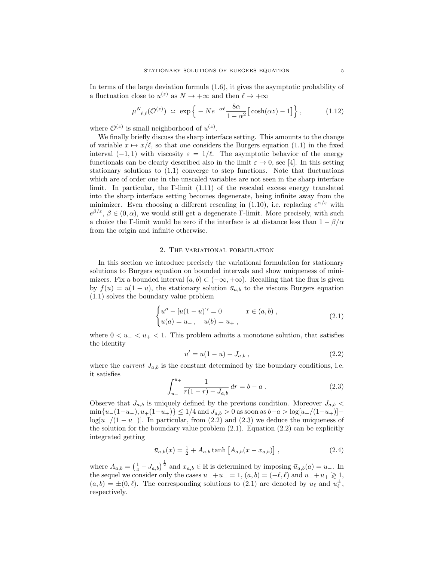In terms of the large deviation formula (1.6), it gives the asymptotic probability of a fluctuation close to  $\bar{u}^{(z)}$  as  $N \to +\infty$  and then  $\ell \to +\infty$ 

$$
\mu_{-\ell,\ell}^N(\mathcal{O}^{(z)}) \; \asymp \; \exp\left\{-N e^{-\alpha\ell} \frac{8\alpha}{1-\alpha^2} \big[ \cosh(\alpha z) - 1 \big] \right\},\tag{1.12}
$$

where  $\mathcal{O}^{(z)}$  is small neighborhood of  $\bar{u}^{(z)}$ .

We finally briefly discuss the sharp interface setting. This amounts to the change of variable  $x \mapsto x/\ell$ , so that one considers the Burgers equation (1.1) in the fixed interval  $(-1, 1)$  with viscosity  $\varepsilon = 1/\ell$ . The asymptotic behavior of the energy functionals can be clearly described also in the limit  $\varepsilon \to 0$ , see [4]. In this setting stationary solutions to (1.1) converge to step functions. Note that fluctuations which are of order one in the unscaled variables are not seen in the sharp interface limit. In particular, the Γ-limit  $(1.11)$  of the rescaled excess energy translated into the sharp interface setting becomes degenerate, being infinite away from the minimizer. Even choosing a different rescaling in (1.10), i.e. replacing  $e^{\alpha/\varepsilon}$  with  $e^{\beta/\varepsilon}, \beta \in (0, \alpha)$ , we would still get a degenerate Γ-limit. More precisely, with such a choice the Γ-limit would be zero if the interface is at distance less than  $1 - \beta/\alpha$ from the origin and infinite otherwise.

### 2. The variational formulation

In this section we introduce precisely the variational formulation for stationary solutions to Burgers equation on bounded intervals and show uniqueness of minimizers. Fix a bounded interval  $(a, b) \subset (-\infty, +\infty)$ . Recalling that the flux is given by  $f(u) = u(1 - u)$ , the stationary solution  $\bar{u}_{a,b}$  to the viscous Burgers equation (1.1) solves the boundary value problem

$$
\begin{cases}\nu'' - [u(1-u)]' = 0 & x \in (a, b), \\
u(a) = u_-, & u(b) = u_+, \end{cases}
$$
\n(2.1)

where  $0 < u_{-} < u_{+} < 1$ . This problem admits a monotone solution, that satisfies the identity

$$
u' = u(1 - u) - J_{a,b} \t\t(2.2)
$$

where the *current*  $J_{a,b}$  is the constant determined by the boundary conditions, i.e. it satisfies

$$
\int_{u_{-}}^{u_{+}} \frac{1}{r(1-r) - J_{a,b}} dr = b - a . \qquad (2.3)
$$

Observe that  $J_{a,b}$  is uniquely defined by the previous condition. Moreover  $J_{a,b}$  <  $\min\{u_-(1-u_-), u_+(1-u_+)\}\leq 1/4$  and  $J_{a,b}>0$  as soon as  $b-a>\log[u_+/(1-u_+)]$  $log[u_{-}/(1-u_{-})]$ . In particular, from (2.2) and (2.3) we deduce the uniqueness of the solution for the boundary value problem  $(2.1)$ . Equation  $(2.2)$  can be explicitly integrated getting

$$
\bar{u}_{a,b}(x) = \frac{1}{2} + A_{a,b} \tanh\left[A_{a,b}(x - x_{a,b})\right],
$$
\n(2.4)

where  $A_{a,b} = \left(\frac{1}{4} - J_{a,b}\right)^{\frac{1}{2}}$  and  $x_{a,b} \in \mathbb{R}$  is determined by imposing  $\bar{u}_{a,b}(a) = u_-\$ . In the sequel we consider only the cases  $u_{-} + u_{+} = 1$ ,  $(a, b) = (-\ell, \ell)$  and  $u_{-} + u_{+} \geq 1$ ,  $(a, b) = \pm(0, \ell)$ . The corresponding solutions to  $(2.1)$  are denoted by  $\bar{u}_{\ell}$  and  $\bar{u}_{\ell}^{\pm}$ , respectively.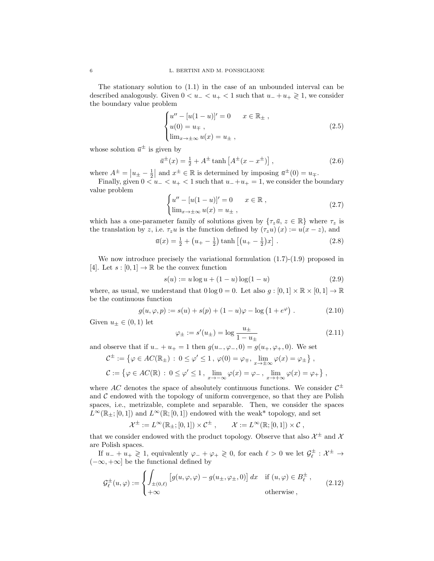The stationary solution to (1.1) in the case of an unbounded interval can be described analogously. Given  $0 < u<sub>-</sub> < u<sub>+</sub> < 1$  such that  $u<sub>-</sub> + u<sub>+</sub> \ge 1$ , we consider the boundary value problem

$$
\begin{cases}\nu'' - [u(1-u)]' = 0 & x \in \mathbb{R}_{\pm} ,\\ u(0) = u_{\mp} ,\\ \lim_{x \to \pm \infty} u(x) = u_{\pm} ,\end{cases}
$$
\n(2.5)

whose solution  $\bar{u}^{\pm}$  is given by

$$
\bar{u}^{\pm}(x) = \frac{1}{2} + A^{\pm} \tanh\left[A^{\pm}(x - x^{\pm})\right],\tag{2.6}
$$

where  $A^{\pm} = |u_{\pm} - \frac{1}{2}|$  and  $x^{\pm} \in \mathbb{R}$  is determined by imposing  $\bar{u}^{\pm}(0) = u_{\mp}$ .

Finally, given  $0 < u_{-} < u_{+} < 1$  such that  $u_{-}+u_{+} = 1$ , we consider the boundary value problem

$$
\begin{cases}\nu'' - [u(1-u)]' = 0 & x \in \mathbb{R} ,\\ \lim_{x \to \pm \infty} u(x) = u_{\pm} ,\end{cases}
$$
\n(2.7)

which has a one-parameter family of solutions given by  $\{\tau_z\bar{u}, z \in \mathbb{R}\}\$  where  $\tau_z$  is the translation by z, i.e.  $\tau_z u$  is the function defined by  $(\tau_z u)(x) := u(x - z)$ , and

$$
\bar{u}(x) = \frac{1}{2} + \left(u_{+} - \frac{1}{2}\right) \tanh\left[\left(u_{+} - \frac{1}{2}\right)x\right].
$$
\n(2.8)

We now introduce precisely the variational formulation (1.7)-(1.9) proposed in [4]. Let  $s : [0,1] \to \mathbb{R}$  be the convex function

$$
s(u) := u \log u + (1 - u) \log(1 - u)
$$
\n(2.9)

where, as usual, we understand that  $0 \log 0 = 0$ . Let also  $g : [0, 1] \times \mathbb{R} \times [0, 1] \rightarrow \mathbb{R}$ be the continuous function

$$
g(u, \varphi, p) := s(u) + s(p) + (1 - u)\varphi - \log(1 + e^{\varphi}).
$$
 (2.10)

Given  $u_{\pm} \in (0,1)$  let

$$
\varphi_{\pm} := s'(u_{\pm}) = \log \frac{u_{\pm}}{1 - u_{\pm}} \tag{2.11}
$$

and observe that if  $u_{-} + u_{+} = 1$  then  $g(u_{-}, \varphi_{-}, 0) = g(u_{+}, \varphi_{+}, 0)$ . We set

$$
\mathcal{C}^{\pm} := \{ \varphi \in AC(\mathbb{R}_{\pm}) \, : \, 0 \le \varphi' \le 1, \, \varphi(0) = \varphi_{\mp}, \, \lim_{x \to \pm \infty} \varphi(x) = \varphi_{\pm} \},
$$
  

$$
\mathcal{C} := \{ \varphi \in AC(\mathbb{R}) \, : \, 0 \le \varphi' \le 1, \, \lim_{x \to -\infty} \varphi(x) = \varphi_{-}, \, \lim_{x \to +\infty} \varphi(x) = \varphi_{+} \},
$$

where AC denotes the space of absolutely continuous functions. We consider  $\mathcal{C}^{\pm}$ and  $\mathcal C$  endowed with the topology of uniform convergence, so that they are Polish spaces, i.e., metrizable, complete and separable. Then, we consider the spaces  $L^{\infty}(\mathbb{R}_{+};[0,1])$  and  $L^{\infty}(\mathbb{R};[0,1])$  endowed with the weak\* topology, and set

$$
\mathcal{X}^{\pm} := L^{\infty}(\mathbb{R}_{\pm}; [0,1]) \times \mathcal{C}^{\pm} , \qquad \mathcal{X} := L^{\infty}(\mathbb{R}; [0,1]) \times \mathcal{C} ,
$$

that we consider endowed with the product topology. Observe that also  $\mathcal{X}^{\pm}$  and  $\mathcal{X}$ are Polish spaces.

If  $u_- + u_+ \geq 1$ , equivalently  $\varphi_- + \varphi_+ \geq 0$ , for each  $\ell > 0$  we let  $\mathcal{G}_\ell^{\pm} : \mathcal{X}^{\pm} \to$  $(-\infty, +\infty]$  be the functional defined by

$$
\mathcal{G}_{\ell}^{\pm}(u,\varphi) := \begin{cases} \int_{\pm(0,\ell)} \left[ g(u,\varphi,\varphi) - g(u_{\pm},\varphi_{\pm},0) \right] dx & \text{if } (u,\varphi) \in B_{\ell}^{\pm} \,, \\ +\infty & \text{otherwise} \,, \end{cases} \tag{2.12}
$$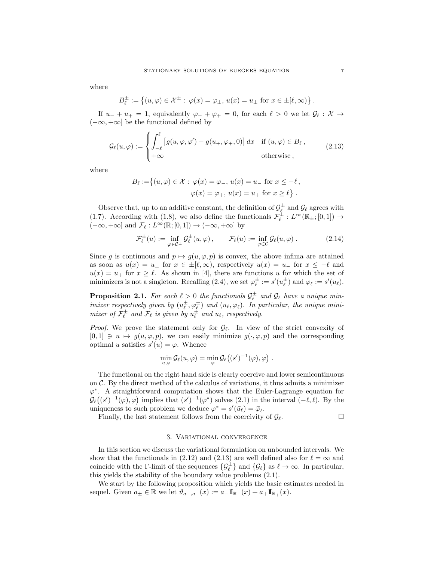where

$$
B_{\ell}^{\pm} := \left\{ (u, \varphi) \in \mathcal{X}^{\pm} : \varphi(x) = \varphi_{\pm}, u(x) = u_{\pm} \text{ for } x \in \pm [\ell, \infty) \right\}.
$$

If  $u_- + u_+ = 1$ , equivalently  $\varphi_- + \varphi_+ = 0$ , for each  $\ell > 0$  we let  $\mathcal{G}_\ell : \mathcal{X} \to$  $(-\infty, +\infty]$  be the functional defined by

$$
\mathcal{G}_{\ell}(u,\varphi) := \begin{cases} \int_{-\ell}^{\ell} \left[ g(u,\varphi,\varphi') - g(u_+,\varphi_+,0) \right] dx & \text{if } (u,\varphi) \in B_{\ell} \,, \\ +\infty & \text{otherwise} \,, \end{cases}
$$
(2.13)

where

$$
B_{\ell} := \{ (u, \varphi) \in \mathcal{X} : \varphi(x) = \varphi_{-}, u(x) = u_{-} \text{ for } x \le -\ell, \varphi(x) = \varphi_{+}, u(x) = u_{+} \text{ for } x \ge \ell \}.
$$

Observe that, up to an additive constant, the definition of  $\mathcal{G}_{\ell}^{\pm}$  and  $\mathcal{G}_{\ell}$  agrees with (1.7). According with (1.8), we also define the functionals  $\mathcal{F}_{\ell}^{\pm}: L^{\infty}(\mathbb{R}_{\pm}; [0,1]) \rightarrow$  $(-\infty, +\infty]$  and  $\mathcal{F}_\ell : L^\infty(\mathbb{R}; [0, 1]) \to (-\infty, +\infty]$  by

$$
\mathcal{F}_{\ell}^{\pm}(u) := \inf_{\varphi \in \mathcal{C}^{\pm}} \mathcal{G}_{\ell}^{\pm}(u, \varphi), \qquad \mathcal{F}_{\ell}(u) := \inf_{\varphi \in \mathcal{C}} \mathcal{G}_{\ell}(u, \varphi).
$$
 (2.14)

Since g is continuous and  $p \mapsto g(u, \varphi, p)$  is convex, the above infima are attained as soon as  $u(x) = u_{\pm}$  for  $x \in \pm [\ell, \infty)$ , respectively  $u(x) = u_{-}$  for  $x \le -\ell$  and  $u(x) = u_+$  for  $x \ge \ell$ . As shown in [4], there are functions u for which the set of minimizers is not a singleton. Recalling (2.4), we set  $\overline{\varphi}_{\ell}^{\pm} := s'(\overline{u}_{\ell}^{\pm})$  and  $\overline{\varphi}_{\ell} := s'(\overline{u}_{\ell}).$ 

**Proposition 2.1.** For each  $\ell > 0$  the functionals  $\mathcal{G}_{\ell}^{\pm}$  and  $\mathcal{G}_{\ell}$  have a unique minimizer respectively given by  $(\bar{u}_{\ell}^{\pm}, \bar{\varphi}_{\ell}^{\pm})$  and  $(\bar{u}_{\ell}, \bar{\varphi}_{\ell})$ . In particular, the unique minimizer of  $\mathcal{F}_{\ell}^{\pm}$  and  $\mathcal{F}_{\ell}$  is given by  $\bar{u}_{\ell}^{\pm}$  and  $\bar{u}_{\ell}$ , respectively.

*Proof.* We prove the statement only for  $\mathcal{G}_{\ell}$ . In view of the strict convexity of  $[0, 1] \ni u \mapsto g(u, \varphi, p)$ , we can easily minimize  $g(\cdot, \varphi, p)$  and the corresponding optimal u satisfies  $s'(u) = \varphi$ . Whence

$$
\min_{u,\varphi} \mathcal{G}_{\ell}(u,\varphi) = \min_{\varphi} \mathcal{G}_{\ell}((s')^{-1}(\varphi),\varphi) .
$$

The functional on the right hand side is clearly coercive and lower semicontinuous on  $\mathcal{C}$ . By the direct method of the calculus of variations, it thus admits a minimizer ϕ ∗ . A straightforward computation shows that the Euler-Lagrange equation for  $\mathcal{G}_{\ell}((s')^{-1}(\varphi),\varphi)$  implies that  $(s')^{-1}(\varphi^*)$  solves (2.1) in the interval  $(-\ell,\ell)$ . By the uniqueness to such problem we deduce  $\varphi^* = s'(\bar{u}_{\ell}) = \bar{\varphi}_{\ell}$ .

Finally, the last statement follows from the coercivity of  $\mathcal{G}_{\ell}$ .

### 3. Variational convergence

In this section we discuss the variational formulation on unbounded intervals. We show that the functionals in (2.12) and (2.13) are well defined also for  $\ell = \infty$  and coincide with the Γ-limit of the sequences  $\{\mathcal{G}_{\ell}^{\pm}\}\$  and  $\{\mathcal{G}_{\ell}\}\$  as  $\ell \to \infty$ . In particular, this yields the stability of the boundary value problems (2.1).

We start by the following proposition which yields the basic estimates needed in sequel. Given  $a_{\pm} \in \mathbb{R}$  we let  $\vartheta_{a_-,a_+}(x) := a_- \mathbb{I}_{\mathbb{R}_-}(x) + a_+ \mathbb{I}_{\mathbb{R}_+}(x)$ .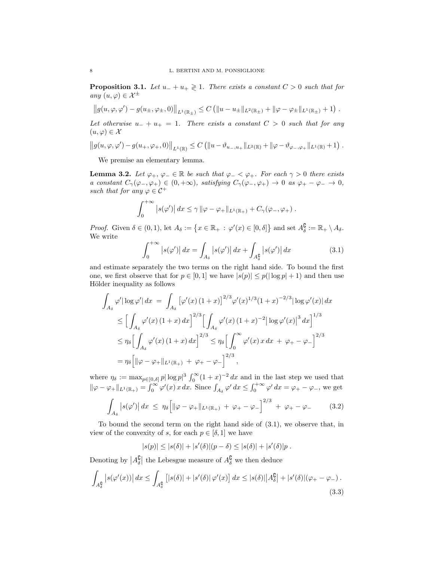**Proposition 3.1.** Let  $u_{-} + u_{+} \geq 1$ . There exists a constant  $C > 0$  such that for any  $(u, \varphi) \in \mathcal{X}^{\pm}$ 

$$
\left\|g(u,\varphi,\varphi')-g(u_\pm,\varphi_\pm,0)\right\|_{L^1(\mathbb{R}_\pm)}\leq C\left(\|u-u_\pm\|_{L^2(\mathbb{R}_\pm)}+\|\varphi-\varphi_\pm\|_{L^1(\mathbb{R}_\pm)}+1\right).
$$

Let otherwise  $u_{-} + u_{+} = 1$ . There exists a constant  $C > 0$  such that for any  $(u, \varphi) \in \mathcal{X}$ 

$$
||g(u, \varphi, \varphi') - g(u_+, \varphi_+, 0)||_{L^1(\mathbb{R})} \leq C (||u - \vartheta_{u_-, u_+}||_{L^2(\mathbb{R})} + ||\varphi - \vartheta_{\varphi_-, \varphi_+}||_{L^1(\mathbb{R})} + 1).
$$

We premise an elementary lemma.

**Lemma 3.2.** Let  $\varphi_+$ ,  $\varphi_-\in\mathbb{R}$  be such that  $\varphi_-\leq \varphi_+$ . For each  $\gamma>0$  there exists a constant  $C_\gamma(\varphi_-, \varphi_+) \in (0, +\infty)$ , satisfying  $C_\gamma(\varphi_-, \varphi_+) \to 0$  as  $\varphi_+ - \varphi_- \to 0$ , such that for any  $\varphi \in C^+$ 

$$
\int_0^{+\infty} |s(\varphi')| dx \leq \gamma \|\varphi - \varphi_+\|_{L^1(\mathbb{R}_+)} + C_{\gamma}(\varphi_-, \varphi_+).
$$

*Proof.* Given  $\delta \in (0,1)$ , let  $A_{\delta} := \{x \in \mathbb{R}_+ : \varphi'(x) \in [0,\delta]\}$  and set  $A_{\delta}^{\complement} := \mathbb{R}_+ \setminus A_{\delta}$ . We write

$$
\int_0^{+\infty} |s(\varphi')| dx = \int_{A_\delta} |s(\varphi')| dx + \int_{A_\delta^0} |s(\varphi')| dx \qquad (3.1)
$$

and estimate separately the two terms on the right hand side. To bound the first one, we first observe that for  $p \in [0,1]$  we have  $|s(p)| \leq p(|\log p| + 1)$  and then use Hölder inequality as follows

$$
\int_{A_{\delta}} \varphi' |\log \varphi'| dx = \int_{A_{\delta}} [\varphi'(x) (1+x)]^{2/3} \varphi'(x)^{1/3} (1+x)^{-2/3} |\log \varphi'(x)| dx
$$
  
\n
$$
\leq \Big[ \int_{A_{\delta}} \varphi'(x) (1+x) dx \Big]^{2/3} \Big[ \int_{A_{\delta}} \varphi'(x) (1+x)^{-2} |\log \varphi'(x)|^3 dx \Big]^{1/3}
$$
  
\n
$$
\leq \eta_{\delta} \Big[ \int_{A_{\delta}} \varphi'(x) (1+x) dx \Big]^{2/3} \leq \eta_{\delta} \Big[ \int_{0}^{\infty} \varphi'(x) dx + \varphi_{+} - \varphi_{-} \Big]^{2/3}
$$
  
\n
$$
= \eta_{\delta} \Big[ ||\varphi - \varphi_{+}||_{L^{1}(\mathbb{R}_{+})} + \varphi_{+} - \varphi_{-} \Big]^{2/3},
$$

where  $\eta_{\delta} := \max_{p \in [0,\delta]} p |\log p|^3 \int_0^{\infty} (1+x)^{-2} dx$  and in the last step we used that  $\|\varphi - \varphi_+\|_{L^1(\mathbb{R}_+)} = \int_0^\infty \varphi'(x) x \, dx.$  Since  $\int_{A_\delta} \varphi' \, dx \le \int_0^{+\infty} \varphi' \, dx = \varphi_+ - \varphi_-,$  we get

$$
\int_{A_{\delta}} |s(\varphi')| dx \le \eta_{\delta} \Big[ \| \varphi - \varphi_{+} \|_{L^{1}(\mathbb{R}_{+})} + \varphi_{+} - \varphi_{-} \Big]^{2/3} + \varphi_{+} - \varphi_{-} \qquad (3.2)
$$

To bound the second term on the right hand side of (3.1), we observe that, in view of the convexity of s, for each  $p \in [\delta, 1]$  we have

$$
|s(p)| \leq |s(\delta)| + |s'(\delta)|(p-\delta) \leq |s(\delta)| + |s'(\delta)|p.
$$

Denoting by  $|A_{\delta}^{\complement}|$  the Lebesgue measure of  $A_{\delta}^{\complement}$  we then deduce

$$
\int_{A_{\delta}^{\mathbf{0}}}|s(\varphi'(x))| dx \leq \int_{A_{\delta}^{\mathbf{0}}}|s(\delta)| + |s'(\delta)|\varphi'(x)| dx \leq |s(\delta)||A_{\delta}^{\mathbf{0}}| + |s'(\delta)|(\varphi_{+} - \varphi_{-}).
$$
\n(3.3)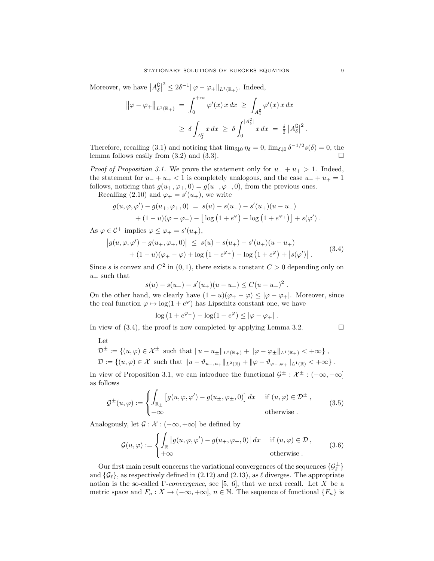Moreover, we have  $|A_{\delta}^{\complement}|$  $2^2 \leq 2\delta^{-1} \|\varphi - \varphi_+\|_{L^1(\mathbb{R}_+)}$ . Indeed,

$$
\|\varphi - \varphi_+\|_{L^1(\mathbb{R}_+)} = \int_0^{+\infty} \varphi'(x) x \, dx \ge \int_{A_\delta^{\mathfrak{g}}} \varphi'(x) x \, dx
$$
  

$$
\ge \delta \int_{A_\delta^{\mathfrak{g}}} x \, dx \ge \delta \int_0^{|A_\delta^{\mathfrak{g}}|} x \, dx = \frac{\delta}{2} |A_\delta^{\mathfrak{g}}|^2.
$$

Therefore, recalling (3.1) and noticing that  $\lim_{\delta \downarrow 0} \eta_{\delta} = 0$ ,  $\lim_{\delta \downarrow 0} \delta^{-1/2} s(\delta) = 0$ , the lemma follows easily from  $(3.2)$  and  $(3.3)$ .

*Proof of Proposition 3.1.* We prove the statement only for  $u_{-} + u_{+} > 1$ . Indeed, the statement for  $u_{-} + u_{+} < 1$  is completely analogous, and the case  $u_{-} + u_{+} = 1$ follows, noticing that  $g(u_+,\varphi_+,0) = g(u_-,\varphi_-,0)$ , from the previous ones.

Recalling (2.10) and  $\varphi_+ = s'(u_+),$  we write

$$
g(u, \varphi, \varphi') - g(u_+, \varphi_+, 0) = s(u) - s(u_+) - s'(u_+)(u - u_+) + (1 - u)(\varphi - \varphi_+) - \left[\log(1 + e^{\varphi}) - \log(1 + e^{\varphi_+})\right] + s(\varphi') .
$$

As  $\varphi \in C^+$  implies  $\varphi \leq \varphi_+ = s'(u_+),$ 

$$
\begin{aligned} \left| g(u, \varphi, \varphi') - g(u_+, \varphi_+, 0) \right| &\leq s(u) - s(u_+) - s'(u_+)(u - u_+) \\ &+ (1 - u)(\varphi_+ - \varphi) + \log \left( 1 + e^{\varphi_+} \right) - \log \left( 1 + e^{\varphi} \right) + \left| s(\varphi') \right| \,. \end{aligned} \tag{3.4}
$$

Since s is convex and  $C^2$  in  $(0, 1)$ , there exists a constant  $C > 0$  depending only on  $u_+$  such that

$$
s(u) - s(u_+) - s'(u_+)(u - u_+) \le C(u - u_+)^2.
$$

On the other hand, we clearly have  $(1 - u)(\varphi_+ - \varphi) \leq |\varphi - \varphi_+|$ . Moreover, since the real function  $\varphi \mapsto \log(1 + e^{\varphi})$  has Lipschitz constant one, we have

$$
\log(1+e^{\varphi_+}) - \log(1+e^{\varphi}) \leq |\varphi - \varphi_+|.
$$

In view of  $(3.4)$ , the proof is now completed by applying Lemma 3.2.

$$
\mathcal{L}_{\mathcal{A}}(x)
$$

$$
_{\rm Let}
$$

$$
\mathcal{D}^{\pm} := \{ (u, \varphi) \in \mathcal{X}^{\pm} \text{ such that } ||u - u_{\pm}||_{L^{2}(\mathbb{R}_{+})} + ||\varphi - \varphi_{\pm}||_{L^{1}(\mathbb{R}_{+})} < +\infty \},\
$$
  

$$
\mathcal{D} := \{ (u, \varphi) \in \mathcal{X} \text{ such that } ||u - \vartheta_{u_{-},u_{+}}||_{L^{2}(\mathbb{R})} + ||\varphi - \vartheta_{\varphi_{-},\varphi_{+}}||_{L^{1}(\mathbb{R})} < +\infty \}.
$$

In view of Proposition 3.1, we can introduce the functional  $\mathcal{G}^{\pm} : \mathcal{X}^{\pm} : (-\infty, +\infty]$ as follows

$$
\mathcal{G}^{\pm}(u,\varphi) := \begin{cases} \int_{\mathbb{R}_{\pm}} \left[ g(u,\varphi,\varphi') - g(u_{\pm},\varphi_{\pm},0) \right] dx & \text{if } (u,\varphi) \in \mathcal{D}^{\pm} \,, \\ +\infty & \text{otherwise} \,. \end{cases} \tag{3.5}
$$

Analogously, let  $\mathcal{G} : \mathcal{X} : (-\infty, +\infty]$  be defined by

$$
\mathcal{G}(u,\varphi) := \begin{cases} \int_{\mathbb{R}} \left[ g(u,\varphi,\varphi') - g(u_+,\varphi_+,0) \right] dx & \text{if } (u,\varphi) \in \mathcal{D} \,, \\ +\infty & \text{otherwise} \,. \end{cases} \tag{3.6}
$$

Our first main result concerns the variational convergences of the sequences  $\{\mathcal{G}_\ell^\pm\}$ and  $\{\mathcal{G}_{\ell}\}\$ , as respectively defined in (2.12) and (2.13), as  $\ell$  diverges. The appropriate notion is the so-called  $\Gamma$ -convergence, see [5, 6], that we next recall. Let X be a metric space and  $F_n : X \to (-\infty, +\infty], n \in \mathbb{N}$ . The sequence of functional  $\{F_n\}$  is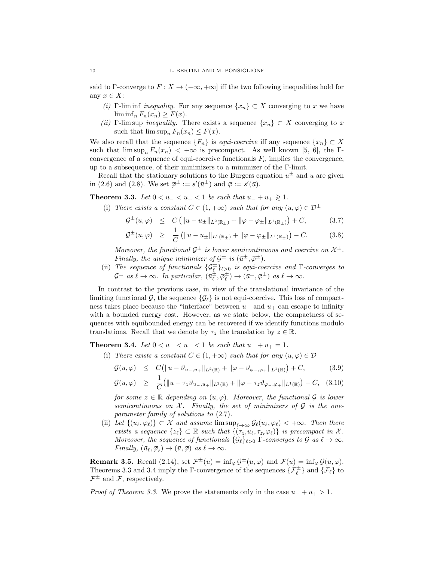said to Γ-converge to  $F: X \to (-\infty, +\infty]$  iff the two following inequalities hold for any  $x \in X$ :

- (i) Γ-lim inf *inequality*. For any sequence  $\{x_n\} \subset X$  converging to x we have  $\liminf_{n} F_n(x_n) \geq F(x)$ .
- (ii) Γ-lim sup *inequality*. There exists a sequence  $\{x_n\} \subset X$  converging to x such that  $\limsup_n F_n(x_n) \leq F(x)$ .

We also recall that the sequence  $\{F_n\}$  is *equi-coercive* iff any sequence  $\{x_n\} \subset X$ such that  $\limsup_n F_n(x_n) < +\infty$  is precompact. As well known [5, 6], the  $\Gamma$ convergence of a sequence of equi-coercive functionals  $F_n$  implies the convergence, up to a subsequence, of their minimizers to a minimizer of the Γ-limit.

Recall that the stationary solutions to the Burgers equation  $\bar{u}^{\pm}$  and  $\bar{u}$  are given in (2.6) and (2.8). We set  $\overline{\varphi}^{\pm} := s'(\overline{u}^{\pm})$  and  $\overline{\varphi} := s'(\overline{u})$ .

**Theorem 3.3.** Let  $0 < u_− < u_+ < 1$  be such that  $u_- + u_+ \ge 1$ .

(i) There exists a constant  $C \in (1, +\infty)$  such that for any  $(u, \varphi) \in \mathcal{D}^{\pm}$ 

$$
\mathcal{G}^{\pm}(u,\varphi) \leq C \left( \|u - u_{\pm}\|_{L^{2}(\mathbb{R}_{\pm})} + \|\varphi - \varphi_{\pm}\|_{L^{1}(\mathbb{R}_{\pm})} \right) + C, \tag{3.7}
$$

$$
\mathcal{G}^{\pm}(u,\varphi) \geq \frac{1}{C} \left( \|u - u_{\pm}\|_{L^2(\mathbb{R}_{+})} + \|\varphi - \varphi_{\pm}\|_{L^1(\mathbb{R}_{+})} \right) - C. \tag{3.8}
$$

Moreover, the functional  $\mathcal{G}^{\pm}$  is lower semicontinuous and coercive on  $\mathcal{X}^{\pm}$ . Finally, the unique minimizer of  $\mathcal{G}^{\pm}$  is  $(\bar{u}^{\pm}, \bar{\varphi}^{\pm})$ .

(ii) The sequence of functionals  $\{G^{\pm}_{\ell}\}_{\ell>0}$  is equi-coercive and  $\Gamma$ -converges to  $\mathcal{G}^{\pm}$  as  $\ell \to \infty$ . In particular,  $(\bar{u}_{\ell}^{\pm}, \bar{\varphi}_{\ell}^{\pm}) \to (\bar{u}^{\pm}, \bar{\varphi}^{\pm})$  as  $\ell \to \infty$ .

In contrast to the previous case, in view of the translational invariance of the limiting functional G, the sequence  $\{\mathcal{G}_{\ell}\}\$  is not equi-coercive. This loss of compactness takes place because the "interface" between  $u_-\,$  and  $u_+\,$  can escape to infinity with a bounded energy cost. However, as we state below, the compactness of sequences with equibounded energy can be recovered if we identify functions modulo translations. Recall that we denote by  $\tau_z$  the translation by  $z \in \mathbb{R}$ .

**Theorem 3.4.** Let  $0 < u_− < u_+ < 1$  be such that  $u_- + u_+ = 1$ .

(i) There exists a constant  $C \in (1, +\infty)$  such that for any  $(u, \varphi) \in \mathcal{D}$ 

$$
G(u,\varphi) \leq C(\|u - \vartheta_{u_{-},u_{+}}\|_{L^{2}(\mathbb{R})} + \|\varphi - \vartheta_{\varphi_{-},\varphi_{+}}\|_{L^{1}(\mathbb{R})}) + C, \qquad (3.9)
$$
  

$$
G(u,\varphi) \geq \frac{1}{C}(\|u - \tau_{z}\vartheta_{u_{-},u_{+}}\|_{L^{2}(\mathbb{R})} + \|\varphi - \tau_{z}\vartheta_{\varphi_{-},\varphi_{+}}\|_{L^{1}(\mathbb{R})}) - C, \quad (3.10)
$$

for some  $z \in \mathbb{R}$  depending on  $(u, \varphi)$ . Moreover, the functional  $\mathcal{G}$  is lower semicontinuous on  $X$ . Finally, the set of minimizers of  $G$  is the oneparameter family of solutions to (2.7).

(ii) Let  $\{(u_\ell, \varphi_\ell)\} \subset \mathcal{X}$  and assume  $\limsup_{\ell \to \infty} \mathcal{G}_\ell(u_\ell, \varphi_\ell) < +\infty$ . Then there exists a sequence  $\{z_\ell\} \subset \mathbb{R}$  such that  $\{(\tau_{z_\ell} u_\ell, \tau_{z_\ell} \varphi_\ell)\}\$ is precompact in X. Moreover, the sequence of functionals  $\{\mathcal{G}_{\ell}\}_{\ell>0}$   $\Gamma$ -converges to  $\mathcal{G}$  as  $\ell \to \infty$ . Finally,  $(\bar{u}_{\ell}, \bar{\varphi}_{\ell}) \to (\bar{u}, \bar{\varphi})$  as  $\ell \to \infty$ .

**Remark 3.5.** Recall (2.14), set  $\mathcal{F}^{\pm}(u) = \inf_{\varphi} \mathcal{G}^{\pm}(u, \varphi)$  and  $\mathcal{F}(u) = \inf_{\varphi} \mathcal{G}(u, \varphi)$ . Theorems 3.3 and 3.4 imply the  $\Gamma$ -convergence of the sequences  $\{\mathcal{F}_{\ell}^{\pm}\}\$  and  $\{\mathcal{F}_{\ell}\}\$  to  $\mathcal{F}^{\pm}$  and  $\mathcal{F}$ , respectively.

*Proof of Theorem 3.3.* We prove the statements only in the case  $u_{-} + u_{+} > 1$ .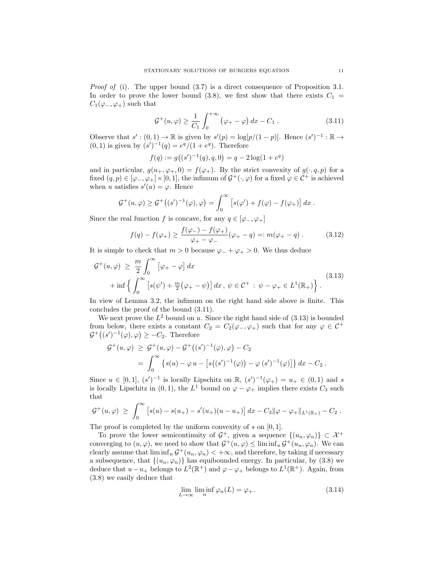*Proof of* (i). The upper bound  $(3.7)$  is a direct consequence of Proposition 3.1. In order to prove the lower bound (3.8), we first show that there exists  $C_1$  =  $C_1(\varphi_-, \varphi_+)$  such that

$$
\mathcal{G}^+(u,\varphi) \ge \frac{1}{C_1} \int_0^{+\infty} (\varphi_+ - \varphi) \, dx - C_1 \,. \tag{3.11}
$$

Observe that  $s' : (0,1) \to \mathbb{R}$  is given by  $s'(p) = \log[p/(1-p)]$ . Hence  $(s')^{-1} : \mathbb{R} \to$  $(0, 1)$  is given by  $(s')^{-1}(q) = e^q/(1 + e^q)$ . Therefore

$$
f(q) := g((s')^{-1}(q), q, 0) = q - 2\log(1 + e^q)
$$

and in particular,  $g(u_+,\varphi_+,0) = f(\varphi_+)$ . By the strict convexity of  $g(\cdot,q,p)$  for a fixed  $(q, p) \in [\varphi_-, \varphi_+] \times [0, 1]$ , the infimum of  $\mathcal{G}^+(\cdot, \varphi)$  for a fixed  $\varphi \in \mathcal{C}^+$  is achieved when u satisfies  $s'(u) = \varphi$ . Hence

$$
\mathcal{G}^+(u,\varphi) \geq \mathcal{G}^+\big((s')^{-1}(\varphi),\varphi\big) = \int_0^\infty \left[ s(\varphi') + f(\varphi) - f(\varphi_+) \right] dx.
$$

Since the real function f is concave, for any  $q \in [\varphi_-, \varphi_+]$ 

$$
f(q) - f(\varphi_+) \ge \frac{f(\varphi_-) - f(\varphi_+)}{\varphi_+ - \varphi_-} (\varphi_+ - q) =: m(\varphi_+ - q) . \tag{3.12}
$$

It is simple to check that  $m > 0$  because  $\varphi_- + \varphi_+ > 0$ . We thus deduce

$$
\mathcal{G}^+(u,\varphi) \geq \frac{m}{2} \int_0^\infty \left[ \varphi_+ - \varphi \right] dx
$$
  
 
$$
+ \inf \left\{ \int_0^\infty \left[ s(\psi') + \frac{m}{2} (\varphi_+ - \psi) \right] dx, \ \psi \in \mathcal{C}^+ : \ \psi - \varphi_+ \in L^1(\mathbb{R}_+) \right\}.
$$
 (3.13)

In view of Lemma 3.2, the infimum on the right hand side above is finite. This concludes the proof of the bound (3.11).

We next prove the  $L^2$  bound on u. Since the right hand side of  $(3.13)$  is bounded from below, there exists a constant  $C_2 = C_2(\varphi_-, \varphi_+)$  such that for any  $\varphi \in C^+$  $\mathcal{G}^+((s')^{-1}(\varphi), \varphi) \geq -C_2$ . Therefore

$$
\mathcal{G}^+(u,\varphi) \geq \mathcal{G}^+(u,\varphi) - \mathcal{G}^+\big((s')^{-1}(\varphi),\varphi\big) - C_2
$$
  
= 
$$
\int_0^\infty \left\{ s(u) - \varphi u - \left[ s\big((s')^{-1}(\varphi)\big) - \varphi\left(s'\right)^{-1}(\varphi)\right] \right\} dx - C_2.
$$

Since  $u \in [0,1], (s')^{-1}$  is locally Lipschitz on  $\mathbb{R}, (s')^{-1}(\varphi_+) = u_+ \in (0,1)$  and s is locally Lipschitz in (0, 1), the  $L^1$  bound on  $\varphi - \varphi_+$  implies there exists  $C_3$  such that

$$
\mathcal{G}^+(u,\varphi) \ \geq \ \int_0^\infty \big[ s(u) - s(u_+) - s'(u_+)(u - u_+) \big] \, dx - C_3 \| \varphi - \varphi_+ \|_{L^1(\mathbb{R}_+)} - C_2 \ .
$$

The proof is completed by the uniform convexity of  $s$  on  $[0, 1]$ .

To prove the lower semicontinuity of  $\mathcal{G}^+$ , given a sequence  $\{(u_n,\varphi_n)\}\subset \mathcal{X}^+$ converging to  $(u, \varphi)$ , we need to show that  $\mathcal{G}^+(u, \varphi) \leq \liminf_n \mathcal{G}^+(u_n, \varphi_n)$ . We can clearly assume that  $\liminf_{n} \mathcal{G}^+(u_n, \varphi_n) < +\infty$ , and therefore, by taking if necessary a subsequence, that  $\{(u_n, \varphi_n)\}\)$  has equibounded energy. In particular, by (3.8) we deduce that  $u - u_+$  belongs to  $L^2(\mathbb{R}^+)$  and  $\varphi - \varphi_+$  belongs to  $L^1(\mathbb{R}^+)$ . Again, from (3.8) we easily deduce that

$$
\lim_{L \to \infty} \liminf_{n} \varphi_n(L) = \varphi_+.
$$
\n(3.14)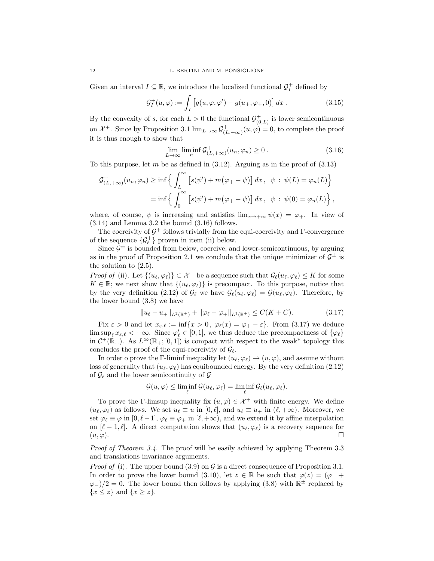Given an interval  $I \subseteq \mathbb{R}$ , we introduce the localized functional  $\mathcal{G}_I^+$  defined by

$$
\mathcal{G}_I^+(u,\varphi) := \int_I \left[ g(u,\varphi,\varphi') - g(u_+,\varphi_+,0) \right] dx. \tag{3.15}
$$

By the convexity of s, for each  $L > 0$  the functional  $\mathcal{G}^+_{(0,L)}$  is lower semicontinuous on  $\mathcal{X}^+$ . Since by Proposition 3.1  $\lim_{L\to\infty} \mathcal{G}^+_{(L,+\infty)}(u,\varphi) = 0$ , to complete the proof it is thus enough to show that

$$
\lim_{L \to \infty} \liminf_{n} \mathcal{G}^+_{(L, +\infty)}(u_n, \varphi_n) \ge 0.
$$
\n(3.16)

To this purpose, let m be as defined in  $(3.12)$ . Arguing as in the proof of  $(3.13)$ 

$$
\mathcal{G}_{(L,+\infty)}^+(u_n,\varphi_n) \ge \inf \left\{ \int_L^\infty \left[ s(\psi') + m(\varphi_+ - \psi) \right] dx, \ \psi : \ \psi(L) = \varphi_n(L) \right\}
$$

$$
= \inf \left\{ \int_0^\infty \left[ s(\psi') + m(\varphi_+ - \psi) \right] dx, \ \psi : \ \psi(0) = \varphi_n(L) \right\},
$$

where, of course,  $\psi$  is increasing and satisfies  $\lim_{x\to+\infty}\psi(x) = \varphi_+$ . In view of (3.14) and Lemma 3.2 the bound (3.16) follows.

The coercivity of  $\mathcal{G}^+$  follows trivially from the equi-coercivity and  $\Gamma$ -convergence of the sequence  $\{\mathcal{G}_{\ell}^{+}\}$  proven in item (ii) below.

Since  $\mathcal{G}^{\pm}$  is bounded from below, coercive, and lower-semicontinuous, by arguing as in the proof of Proposition 2.1 we conclude that the unique minimizer of  $\mathcal{G}^{\pm}$  is the solution to (2.5).

*Proof of* (ii). Let  $\{(u_\ell, \varphi_\ell)\}\subset \mathcal{X}^+$  be a sequence such that  $\mathcal{G}_\ell(u_\ell, \varphi_\ell) \leq K$  for some  $K \in \mathbb{R}$ ; we next show that  $\{(u_{\ell}, \varphi_{\ell})\}$  is precompact. To this purpose, notice that by the very definition (2.12) of  $\mathcal{G}_{\ell}$  we have  $\mathcal{G}_{\ell}(u_{\ell}, \varphi_{\ell}) = \mathcal{G}(u_{\ell}, \varphi_{\ell})$ . Therefore, by the lower bound (3.8) we have

$$
||u_{\ell} - u_{+}||_{L^{2}(\mathbb{R}^{+})} + ||\varphi_{\ell} - \varphi_{+}||_{L^{1}(\mathbb{R}^{+})} \leq C(K + C). \tag{3.17}
$$

Fix  $\varepsilon > 0$  and let  $x_{\varepsilon,\ell} := \inf\{x > 0, \varphi_\ell(x) = \varphi_+ - \varepsilon\}.$  From (3.17) we deduce  $\limsup_{\ell} x_{\varepsilon,\ell} < +\infty$ . Since  $\varphi'_{\ell} \in [0,1]$ , we thus deduce the precompactness of  $\{\varphi_{\ell}\}\$ in  $\mathcal{C}^+(\mathbb{R}_+)$ . As  $L^\infty(\mathbb{R}_+; [0,1])$  is compact with respect to the weak\* topology this concludes the proof of the equi-coercivity of  $\mathcal{G}_{\ell}$ .

In order o prove the Γ-liminf inequality let  $(u_\ell, \varphi_\ell) \to (u, \varphi)$ , and assume without loss of generality that  $(u_\ell, \varphi_\ell)$  has equibounded energy. By the very definition (2.12) of  $\mathcal{G}_{\ell}$  and the lower semicontinuity of  $\mathcal{G}$ 

$$
\mathcal{G}(u,\varphi)\leq \liminf_{\ell}\mathcal{G}(u_\ell,\varphi_\ell)=\liminf_{\ell}\mathcal{G}_\ell(u_\ell,\varphi_\ell).
$$

To prove the Γ-limsup inequality fix  $(u, \varphi) \in \mathcal{X}^+$  with finite energy. We define  $(u_{\ell}, \varphi_{\ell})$  as follows. We set  $u_{\ell} \equiv u$  in  $[0, \ell]$ , and  $u_{\ell} \equiv u_{+}$  in  $(\ell, +\infty)$ . Moreover, we set  $\varphi_\ell \equiv \varphi$  in  $[0, \ell-1], \varphi_\ell \equiv \varphi_+$  in  $[\ell, +\infty)$ , and we extend it by affine interpolation on  $[\ell - 1, \ell]$ . A direct computation shows that  $(u_{\ell}, \varphi_{\ell})$  is a recovery sequence for  $(u, \varphi)$ .

Proof of Theorem 3.4. The proof will be easily achieved by applying Theorem 3.3 and translations invariance arguments.

*Proof of* (i). The upper bound (3.9) on  $\mathcal G$  is a direct consequence of Proposition 3.1. In order to prove the lower bound (3.10), let  $z \in \mathbb{R}$  be such that  $\varphi(z) = (\varphi_+ +$  $\varphi$ <sub>−</sub>)/2 = 0. The lower bound then follows by applying (3.8) with  $\mathbb{R}^{\pm}$  replaced by  ${x \leq z}$  and  ${x \geq z}$ .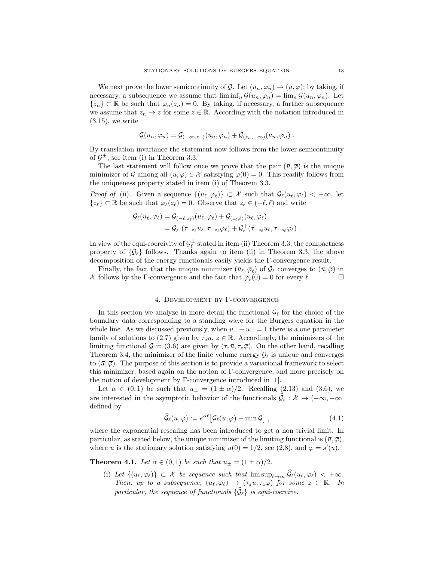We next prove the lower semicontinuity of G. Let  $(u_n, \varphi_n) \to (u, \varphi)$ ; by taking, if necessary, a subsequence we assume that  $\liminf_{n} \mathcal{G}(u_n, \varphi_n) = \lim_{n} \mathcal{G}(u_n, \varphi_n)$ . Let  $\{z_n\} \subset \mathbb{R}$  be such that  $\varphi_n(z_n) = 0$ . By taking, if necessary, a further subsequence we assume that  $z_n \to z$  for some  $z \in \mathbb{R}$ . According with the notation introduced in  $(3.15)$ , we write

$$
\mathcal{G}(u_n,\varphi_n)=\mathcal{G}_{(-\infty,z_n)}(u_n,\varphi_n)+\mathcal{G}_{(z_n,+\infty)}(u_n,\varphi_n).
$$

By translation invariance the statement now follows from the lower semicontinuity of  $\mathcal{G}^{\pm}$ , see item (i) in Theorem 3.3.

The last statement will follow once we prove that the pair  $(\bar{u}, \bar{\varphi})$  is the unique minimizer of G among all  $(u, \varphi) \in \mathcal{X}$  satisfying  $\varphi(0) = 0$ . This readily follows from the uniqueness property stated in item (i) of Theorem 3.3.

*Proof of* (ii). Given a sequence  $\{(u_{\ell}, \varphi_{\ell})\} \subset \mathcal{X}$  such that  $\mathcal{G}_{\ell}(u_{\ell}, \varphi_{\ell}) < +\infty$ , let  $\{z_{\ell}\}\subset \mathbb{R}$  be such that  $\varphi_{\ell}(z_{\ell}) = 0$ . Observe that  $z_{\ell} \in (-\ell, \ell)$  and write

$$
G_{\ell}(u_{\ell},\varphi_{\ell}) = G_{(-\ell,z_{\ell})}(u_{\ell},\varphi_{\ell}) + G_{(z_{\ell},\ell)}(u_{\ell},\varphi_{\ell})
$$
  
= 
$$
G_{\ell}^-(\tau_{-z_{\ell}}u_{\ell},\tau_{-z_{\ell}}\varphi_{\ell}) + G_{\ell}^+(\tau_{-z_{\ell}}u_{\ell},\tau_{-z_{\ell}}\varphi_{\ell}).
$$

In view of the equi-coercivity of  $\mathcal{G}_{\ell}^{\pm}$  stated in item (ii) Theorem 3.3, the compactness property of  $\{\mathcal{G}_{\ell}\}\$  follows. Thanks again to item (ii) in Theorem 3.3, the above decomposition of the energy functionals easily yields the Γ-convergence result.

Finally, the fact that the unique minimizer  $(\bar{u}_{\ell}, \bar{\varphi}_{\ell})$  of  $\mathcal{G}_{\ell}$  converges to  $(\bar{u}, \bar{\varphi})$  in X follows by the  $\Gamma$ -convergence and the fact that  $\overline{\varphi}_{\ell}(0) = 0$  for every  $\ell$ .

## 4. Development by Γ-convergence

In this section we analyze in more detail the functional  $\mathcal{G}_{\ell}$  for the choice of the boundary data corresponding to a standing wave for the Burgers equation in the whole line. As we discussed previously, when  $u_{-} + u_{+} = 1$  there is a one parameter family of solutions to (2.7) given by  $\tau_z \bar{u}$ ,  $z \in \mathbb{R}$ . Accordingly, the minimizers of the limiting functional G in (3.6) are given by  $(\tau_z\bar{u}, \tau_z\bar{\varphi})$ . On the other hand, recalling Theorem 3.4, the minimizer of the finite volume energy  $\mathcal{G}_{\ell}$  is unique and converges to  $(\bar{u}, \bar{\varphi})$ . The purpose of this section is to provide a variational framework to select this minimizer, based again on the notion of Γ-convergence, and more precisely on the notion of development by Γ-convergence introduced in [1].

Let  $\alpha \in (0,1)$  be such that  $u_{\pm} = (1 \pm \alpha)/2$ . Recalling (2.13) and (3.6), we are interested in the asymptotic behavior of the functionals  $\widehat{\mathcal{G}}_{\ell} : \mathcal{X} \to (-\infty, +\infty]$ defined by

$$
\widehat{\mathcal{G}}_{\ell}(u,\varphi) := e^{\alpha \ell} \big[ \mathcal{G}_{\ell}(u,\varphi) - \min \mathcal{G} \big], \qquad (4.1)
$$

where the exponential rescaling has been introduced to get a non trivial limit. In particular, as stated below, the unique minimizer of the limiting functional is  $(\bar{u}, \bar{\varphi})$ , where  $\bar{u}$  is the stationary solution satisfying  $\bar{u}(0) = 1/2$ , see (2.8), and  $\bar{\varphi} = s'(\bar{u})$ .

**Theorem 4.1.** Let  $\alpha \in (0,1)$  be such that  $u_{\pm} = (1 \pm \alpha)/2$ .

(i) Let  $\{(u_\ell, \varphi_\ell)\}\subset \mathcal{X}$  be sequence such that  $\limsup_{\ell\to\infty} \widehat{\mathcal{G}}_\ell(u_\ell, \varphi_\ell) < +\infty$ . Then, up to a subsequence,  $(u_{\ell}, \varphi_{\ell}) \to (\tau_z \bar{u}, \tau_z \bar{\varphi})$  for some  $z \in \mathbb{R}$ . In particular, the sequence of functionals  $\{\widehat{\mathcal{G}}_{\ell}\}\)$  is equi-coercive.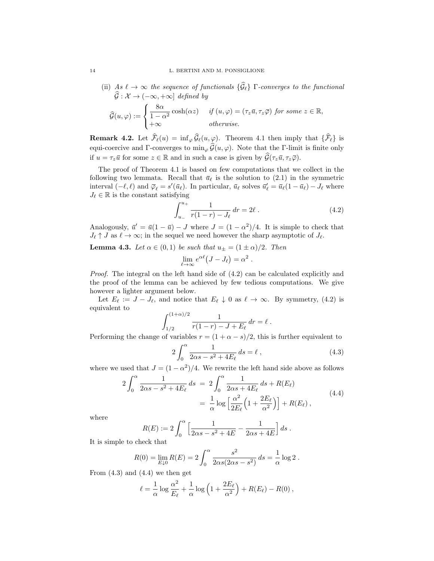(ii) As  $\ell \to \infty$  the sequence of functionals  $\{\widehat{\mathcal{G}}_{\ell}\}\Gamma$ -converges to the functional  $\widehat{\mathcal{G}} : \mathcal{X} \to (-\infty, +\infty]$  defined by  $\mathcal{G}(u, \varphi) :=$  $\sqrt{ }$ J  $\mathcal{L}$ 8α  $\frac{\partial a}{\partial (1-\alpha^2)} \cosh(\alpha z)$  if  $(u,\varphi) = (\tau_z \bar{u}, \tau_z \bar{\varphi})$  for some  $z \in \mathbb{R}$ ,  $+\infty$  otherwise.

**Remark 4.2.** Let  $\widehat{\mathcal{F}}_{\ell}(u) = \inf_{\varphi} \widehat{\mathcal{G}}_{\ell}(u, \varphi)$ . Theorem 4.1 then imply that  $\{\widehat{\mathcal{F}}_{\ell}\}$  is equi-coercive and Γ-converges to  $\min_{\varphi} \widehat{\mathcal{G}}(u, \varphi)$ . Note that the Γ-limit is finite only if  $u = \tau_z \bar{u}$  for some  $z \in \mathbb{R}$  and in such a case is given by  $\widehat{\mathcal{G}}(\tau_z \bar{u}, \tau_z \bar{\varphi})$ .

The proof of Theorem 4.1 is based on few computations that we collect in the following two lemmata. Recall that  $\bar{u}_{\ell}$  is the solution to (2.1) in the symmetric interval  $(-\ell, \ell)$  and  $\overline{\varphi}_{\ell} = s'(\overline{u}_{\ell})$ . In particular,  $\overline{u}_{\ell}$  solves  $\overline{u}'_{\ell} = \overline{u}_{\ell}(1 - \overline{u}_{\ell}) - J_{\ell}$  where  $J_{\ell} \in \mathbb{R}$  is the constant satisfying

$$
\int_{u_{-}}^{u_{+}} \frac{1}{r(1-r) - J_{\ell}} dr = 2\ell.
$$
 (4.2)

Analogously,  $\bar{u}' = \bar{u}(1-\bar{u}) - J$  where  $J = (1-\alpha^2)/4$ . It is simple to check that  $J_\ell \uparrow J$  as  $\ell \to \infty$ ; in the sequel we need however the sharp asymptotic of  $J_\ell$ .

**Lemma 4.3.** Let  $\alpha \in (0,1)$  be such that  $u_{\pm} = (1 \pm \alpha)/2$ . Then

$$
\lim_{\ell \to \infty} e^{\alpha \ell} (J - J_{\ell}) = \alpha^2.
$$

Proof. The integral on the left hand side of (4.2) can be calculated explicitly and the proof of the lemma can be achieved by few tedious computations. We give however a lighter argument below.

Let  $E_\ell := J - J_\ell$ , and notice that  $E_\ell \downarrow 0$  as  $\ell \to \infty$ . By symmetry, (4.2) is equivalent to

$$
\int_{1/2}^{(1+\alpha)/2} \frac{1}{r(1-r) - J + E_{\ell}} dr = \ell.
$$

Performing the change of variables  $r = (1 + \alpha - s)/2$ , this is further equivalent to

$$
2\int_0^\alpha \frac{1}{2\alpha s - s^2 + 4E_\ell} ds = \ell ,\qquad(4.3)
$$

where we used that  $J = (1 - \alpha^2)/4$ . We rewrite the left hand side above as follows

$$
2\int_0^{\alpha} \frac{1}{2\alpha s - s^2 + 4E_{\ell}} ds = 2\int_0^{\alpha} \frac{1}{2\alpha s + 4E_{\ell}} ds + R(E_{\ell})
$$
  

$$
= \frac{1}{\alpha} \log \left[ \frac{\alpha^2}{2E_{\ell}} \left( 1 + \frac{2E_{\ell}}{\alpha^2} \right) \right] + R(E_{\ell}), \tag{4.4}
$$

where

$$
R(E) := 2 \int_0^{\alpha} \left[ \frac{1}{2\alpha s - s^2 + 4E} - \frac{1}{2\alpha s + 4E} \right] ds.
$$

It is simple to check that

$$
R(0) = \lim_{E \downarrow 0} R(E) = 2 \int_0^\alpha \frac{s^2}{2\alpha s (2\alpha s - s^2)} ds = \frac{1}{\alpha} \log 2.
$$

From  $(4.3)$  and  $(4.4)$  we then get

$$
\ell = \frac{1}{\alpha} \log \frac{\alpha^2}{E_\ell} + \frac{1}{\alpha} \log \left( 1 + \frac{2E_\ell}{\alpha^2} \right) + R(E_\ell) - R(0) ,
$$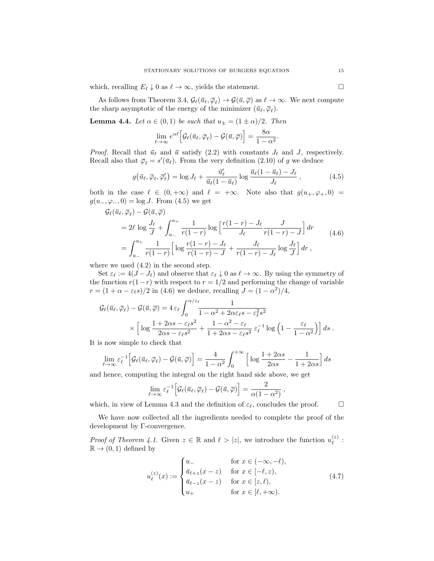which, recalling  $E_\ell \downarrow 0$  as  $\ell \to \infty$ , yields the statement.

As follows from Theorem 3.4,  $\mathcal{G}_{\ell}(\bar{u}_{\ell}, \bar{\varphi}_{\ell}) \to \mathcal{G}(\bar{u}, \bar{\varphi})$  as  $\ell \to \infty$ . We next compute the sharp asymptotic of the energy of the minimizer  $(\bar{u}_{\ell}, \bar{\varphi}_{\ell}).$ 

**Lemma 4.4.** Let  $\alpha \in (0,1)$  be such that  $u_{\pm} = (1 \pm \alpha)/2$ . Then

$$
\lim_{\ell \to \infty} e^{\alpha \ell} \Big[ \mathcal{G}_{\ell}(\bar{u}_{\ell}, \bar{\varphi}_{\ell}) - \mathcal{G}(\bar{u}, \bar{\varphi}) \Big] = \frac{8\alpha}{1 - \alpha^2}.
$$

*Proof.* Recall that  $\bar{u}_{\ell}$  and  $\bar{u}$  satisfy (2.2) with constants  $J_{\ell}$  and  $J$ , respectively. Recall also that  $\overline{\varphi}_{\ell} = s'(\overline{u}_{\ell})$ . From the very definition (2.10) of g we deduce

$$
g(\bar{u}_{\ell}, \bar{\varphi}_{\ell}, \bar{\varphi}'_{\ell}) = \log J_{\ell} + \frac{\bar{u}'_{\ell}}{\bar{u}_{\ell}(1 - \bar{u}_{\ell})} \log \frac{\bar{u}_{\ell}(1 - \bar{u}_{\ell}) - J_{\ell}}{J_{\ell}}, \qquad (4.5)
$$

both in the case  $\ell \in (0, +\infty)$  and  $\ell = +\infty$ . Note also that  $g(u_+, \varphi_+, 0) =$  $g(u_-, \varphi_-, 0) = \log J$ . From (4.5) we get

$$
G_{\ell}(\bar{u}_{\ell}, \bar{\varphi}_{\ell}) - G(\bar{u}, \bar{\varphi})
$$
  
=  $2\ell \log \frac{J_{\ell}}{J} + \int_{u_{-}}^{u_{+}} \frac{1}{r(1-r)} \log \left[ \frac{r(1-r) - J_{\ell}}{J_{\ell}} \frac{J}{r(1-r) - J} \right] dr$   
=  $\int_{u_{-}}^{u_{+}} \frac{1}{r(1-r)} \left[ \log \frac{r(1-r) - J_{\ell}}{r(1-r) - J} + \frac{J_{\ell}}{r(1-r) - J_{\ell}} \log \frac{J_{\ell}}{J} \right] dr$ , (4.6)

where we used  $(4.2)$  in the second step.

Set  $\varepsilon_\ell := 4(J - J_\ell)$  and observe that  $\varepsilon_\ell \downarrow 0$  as  $\ell \to \infty$ . By using the symmetry of the function  $r(1-r)$  with respect to  $r = 1/2$  and performing the change of variable  $r = (1 + \alpha - \varepsilon_{\ell} s)/2$  in (4.6) we deduce, recalling  $J = (1 - \alpha^2)/4$ ,

$$
G_{\ell}(\bar{u}_{\ell}, \bar{\varphi}_{\ell}) - G(\bar{u}, \bar{\varphi}) = 4 \, \varepsilon_{\ell} \int_{0}^{\alpha/\varepsilon_{\ell}} \frac{1}{1 - \alpha^{2} + 2\alpha \varepsilon_{\ell} s - \varepsilon_{\ell}^{2} s^{2}} \times \left[ \log \frac{1 + 2\alpha s - \varepsilon_{\ell} s^{2}}{2\alpha s - \varepsilon_{\ell} s^{2}} + \frac{1 - \alpha^{2} - \varepsilon_{\ell}}{1 + 2\alpha s - \varepsilon_{\ell} s^{2}} \, \varepsilon_{\ell}^{-1} \log \left( 1 - \frac{\varepsilon_{\ell}}{1 - \alpha^{2}} \right) \right] ds \, .
$$

It is now simple to check that

$$
\lim_{\ell \to \infty} \varepsilon_{\ell}^{-1} \Big[ \mathcal{G}_{\ell}(\bar{u}_{\ell}, \bar{\varphi}_{\ell}) - \mathcal{G}(\bar{u}, \bar{\varphi}) \Big] = \frac{4}{1 - \alpha^2} \int_0^{+\infty} \Big[ \log \frac{1 + 2\alpha s}{2\alpha s} - \frac{1}{1 + 2\alpha s} \Big] ds
$$

and hence, computing the integral on the right hand side above, we get

$$
\lim_{\ell \to \infty} \varepsilon_{\ell}^{-1} \Big[ \mathcal{G}_{\ell}(\bar{u}_{\ell}, \bar{\varphi}_{\ell}) - \mathcal{G}(\bar{u}, \bar{\varphi}) \Big] = \frac{2}{\alpha(1 - \alpha^2)} ,
$$

which, in view of Lemma 4.3 and the definition of  $\varepsilon_{\ell}$ , concludes the proof.  $\Box$ 

We have now collected all the ingredients needed to complete the proof of the development by Γ-convergence.

*Proof of Theorem 4.1.* Given  $z \in \mathbb{R}$  and  $\ell > |z|$ , we introduce the function  $u_{\ell}^{(z)}$  $\stackrel{(z)}{\ell}$  :  $\mathbb{R} \to (0, 1)$  defined by

$$
u_{\ell}^{(z)}(x) := \begin{cases} u_{-} & \text{for } x \in (-\infty, -\ell), \\ \bar{u}_{\ell+z}(x-z) & \text{for } x \in [-\ell, z), \\ \bar{u}_{\ell-z}(x-z) & \text{for } x \in [z, \ell), \\ u_{+} & \text{for } x \in [\ell, +\infty). \end{cases} \tag{4.7}
$$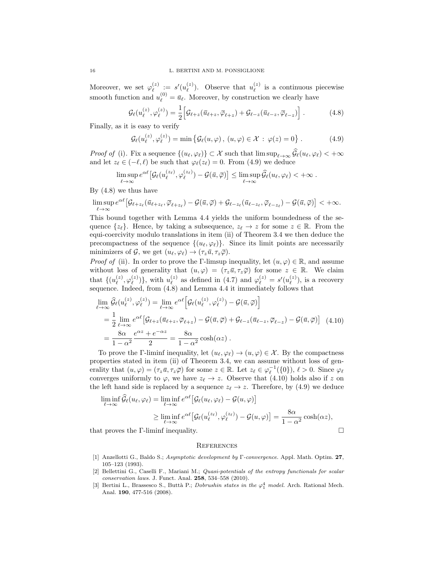Moreover, we set  $\varphi_{\ell}^{(z)}$  $\stackrel{(z)}{\ell} \; := \; s'(u^{(z)}_\ell)$  $\binom{z}{\ell}$ . Observe that  $u_{\ell}^{(z)}$  $\ell$ <sup>(z)</sup> is a continuous piecewise smooth function and  $u_{\ell}^{(0)} = \bar{u}_{\ell}$ . Moreover, by construction we clearly have

$$
\mathcal{G}_{\ell}(u_{\ell}^{(z)}, \varphi_{\ell}^{(z)}) = \frac{1}{2} \Big[ \mathcal{G}_{\ell+z}(\bar{u}_{\ell+z}, \bar{\varphi}_{\ell+z}) + \mathcal{G}_{\ell-z}(\bar{u}_{\ell-z}, \bar{\varphi}_{\ell-z}) \Big] . \tag{4.8}
$$

Finally, as it is easy to verify

$$
\mathcal{G}_{\ell}(u_{\ell}^{(z)}, \varphi_{\ell}^{(z)}) = \min \left\{ \mathcal{G}_{\ell}(u, \varphi), (u, \varphi) \in \mathcal{X} : \varphi(z) = 0 \right\}. \tag{4.9}
$$

*Proof of* (i). Fix a sequence  $\{(u_{\ell}, \varphi_{\ell})\}\subset \mathcal{X}$  such that  $\limsup_{\ell\to\infty} \widehat{\mathcal{G}}_{\ell}(u_{\ell}, \varphi_{\ell}) < +\infty$ and let  $z_\ell \in (-\ell, \ell)$  be such that  $\varphi_\ell(z_\ell) = 0$ . From (4.9) we deduce

$$
\limsup_{\ell\to\infty}e^{\alpha\ell}\big[\mathcal{G}_{\ell}(u_{\ell}^{(z_{\ell})},\varphi_{\ell}^{(z_{\ell})})-\mathcal{G}(\bar{u},\bar{\varphi})\big]\leq \limsup_{\ell\to\infty}\widehat{\mathcal{G}}_{\ell}(u_{\ell},\varphi_{\ell})<+\infty.
$$

By (4.8) we thus have

$$
\limsup_{\ell\to\infty}e^{\alpha\ell}\big[\mathcal{G}_{\ell+z_{\ell}}(\bar{u}_{\ell+z_{\ell}},\bar{\varphi}_{\ell+z_{\ell}})-\mathcal{G}(\bar{u},\bar{\varphi})+\mathcal{G}_{\ell-z_{\ell}}(\bar{u}_{\ell-z_{\ell}},\bar{\varphi}_{\ell-z_{\ell}})-\mathcal{G}(\bar{u},\bar{\varphi})\big]<+\infty.
$$

This bound together with Lemma 4.4 yields the uniform boundedness of the sequence  $\{z_{\ell}\}.$  Hence, by taking a subsequence,  $z_{\ell} \to z$  for some  $z \in \mathbb{R}$ . From the equi-coercivity modulo translations in item (ii) of Theorem 3.4 we then deduce the precompactness of the sequence  $\{(u_{\ell}, \varphi_{\ell})\}.$  Since its limit points are necessarily minimizers of G, we get  $(u_{\ell}, \varphi_{\ell}) \rightarrow (\tau_z \bar{u}, \tau_z \bar{\varphi}).$ 

*Proof of* (ii). In order to prove the Γ-limsup inequality, let  $(u, \varphi) \in \mathbb{R}$ , and assume without loss of generality that  $(u, \varphi) = (\tau_z \bar{u}, \tau_z \bar{\varphi})$  for some  $z \in \mathbb{R}$ . We claim that  $\{u_{\ell}^{(z)}\}$  $_{\ell}^{(z)},\varphi_{\ell}^{(z)}$  $\binom{z}{\ell}$ , with  $u_{\ell}^{(z)}$  $\varphi_{\ell}^{(z)}$  as defined in (4.7) and  $\varphi_{\ell}^{(z)} = s'(u_{\ell}^{(z)})$  $\binom{z}{\ell}$ , is a recovery sequence. Indeed, from (4.8) and Lemma 4.4 it immediately follows that

$$
\lim_{\ell \to \infty} \hat{\mathcal{G}}_{\ell}(u_{\ell}^{(z)}, \varphi_{\ell}^{(z)}) = \lim_{\ell \to \infty} e^{\alpha \ell} \Big[ \mathcal{G}_{\ell}(u_{\ell}^{(z)}, \varphi_{\ell}^{(z)}) - \mathcal{G}(\bar{u}, \bar{\varphi}) \Big]
$$
\n
$$
= \frac{1}{2} \lim_{\ell \to \infty} e^{\alpha \ell} \Big[ \mathcal{G}_{\ell+z}(\bar{u}_{\ell+z}, \bar{\varphi}_{\ell+z}) - \mathcal{G}(\bar{u}, \bar{\varphi}) + \mathcal{G}_{\ell-z}(\bar{u}_{\ell-z}, \bar{\varphi}_{\ell-z}) - \mathcal{G}(\bar{u}, \bar{\varphi}) \Big] \quad (4.10)
$$
\n
$$
= \frac{8\alpha}{1 - \alpha^2} \frac{e^{\alpha z} + e^{-\alpha z}}{2} = \frac{8\alpha}{1 - \alpha^2} \cosh(\alpha z) .
$$

To prove the Γ-liminf inequality, let  $(u_{\ell}, \varphi_{\ell}) \to (u, \varphi) \in \mathcal{X}$ . By the compactness properties stated in item (ii) of Theorem 3.4, we can assume without loss of generality that  $(u, \varphi) = (\tau_z \bar{u}, \tau_z \bar{\varphi})$  for some  $z \in \mathbb{R}$ . Let  $z_\ell \in \varphi_\ell^{-1}(\{0\}), \ell > 0$ . Since  $\varphi_\ell$ converges uniformly to  $\varphi$ , we have  $z_{\ell} \to z$ . Observe that (4.10) holds also if z on the left hand side is replaced by a sequence  $z_{\ell} \to z$ . Therefore, by (4.9) we deduce

$$
\liminf_{\ell \to \infty} \hat{\mathcal{G}}_{\ell}(u_{\ell}, \varphi_{\ell}) = \liminf_{\ell \to \infty} e^{\alpha \ell} \big[ \mathcal{G}_{\ell}(u_{\ell}, \varphi_{\ell}) - \mathcal{G}(u, \varphi) \big]
$$
\n
$$
\geq \liminf_{\ell \to \infty} e^{\alpha \ell} \big[ \mathcal{G}_{\ell}(u_{\ell}^{(z_{\ell})}, \varphi_{\ell}^{(z_{\ell})}) - \mathcal{G}(u, \varphi) \big] = \frac{8\alpha}{1 - \alpha^2} \cosh(\alpha z),
$$

that proves the Γ-liminf inequality. □

### **REFERENCES**

- [1] Anzellotti G., Baldo S.; Asymptotic development by Γ-convergence. Appl. Math. Optim. 27, 105–123 (1993).
- [2] Bellettini G., Caselli F., Mariani M.; Quasi-potentials of the entropy functionals for scalar conservation laws. J. Funct. Anal. **258**, 534-558 (2010).
- [3] Bertini L., Brassesco S., Buttà P.; *Dobrushin states in the*  $\varphi_1^4$  *model*. Arch. Rational Mech. Anal. 190, 477-516 (2008).